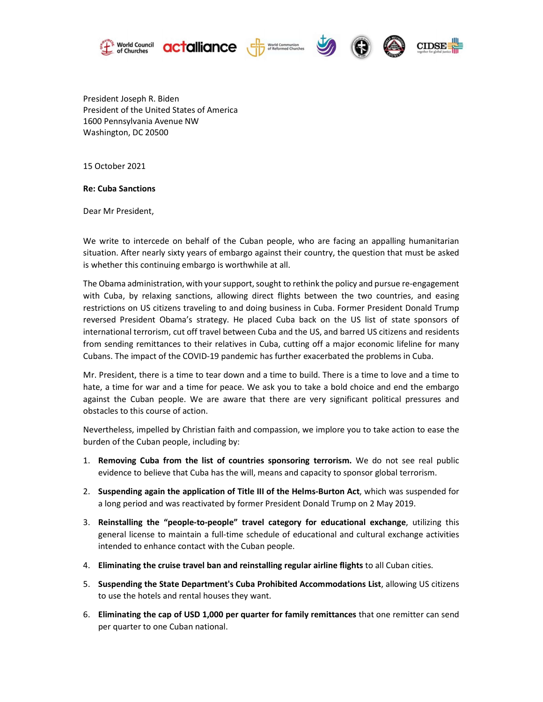







 President Joseph R. Biden President of the United States of America 1600 Pennsylvania Avenue NW Washington, DC 20500

15 October 2021

Re: Cuba Sanctions

Dear Mr President,

We write to intercede on behalf of the Cuban people, who are facing an appalling humanitarian situation. After nearly sixty years of embargo against their country, the question that must be asked is whether this continuing embargo is worthwhile at all.

The Obama administration, with your support, sought to rethink the policy and pursue re-engagement with Cuba, by relaxing sanctions, allowing direct flights between the two countries, and easing restrictions on US citizens traveling to and doing business in Cuba. Former President Donald Trump reversed President Obama's strategy. He placed Cuba back on the US list of state sponsors of international terrorism, cut off travel between Cuba and the US, and barred US citizens and residents from sending remittances to their relatives in Cuba, cutting off a major economic lifeline for many Cubans. The impact of the COVID-19 pandemic has further exacerbated the problems in Cuba.

Mr. President, there is a time to tear down and a time to build. There is a time to love and a time to hate, a time for war and a time for peace. We ask you to take a bold choice and end the embargo against the Cuban people. We are aware that there are very significant political pressures and obstacles to this course of action.

Nevertheless, impelled by Christian faith and compassion, we implore you to take action to ease the burden of the Cuban people, including by:

- 1. Removing Cuba from the list of countries sponsoring terrorism. We do not see real public evidence to believe that Cuba has the will, means and capacity to sponsor global terrorism.
- 2. Suspending again the application of Title III of the Helms-Burton Act, which was suspended for a long period and was reactivated by former President Donald Trump on 2 May 2019.
- 3. Reinstalling the "people-to-people" travel category for educational exchange, utilizing this general license to maintain a full-time schedule of educational and cultural exchange activities intended to enhance contact with the Cuban people.
- 4. Eliminating the cruise travel ban and reinstalling regular airline flights to all Cuban cities.
- 5. Suspending the State Department's Cuba Prohibited Accommodations List, allowing US citizens to use the hotels and rental houses they want.
- 6. Eliminating the cap of USD 1,000 per quarter for family remittances that one remitter can send per quarter to one Cuban national.